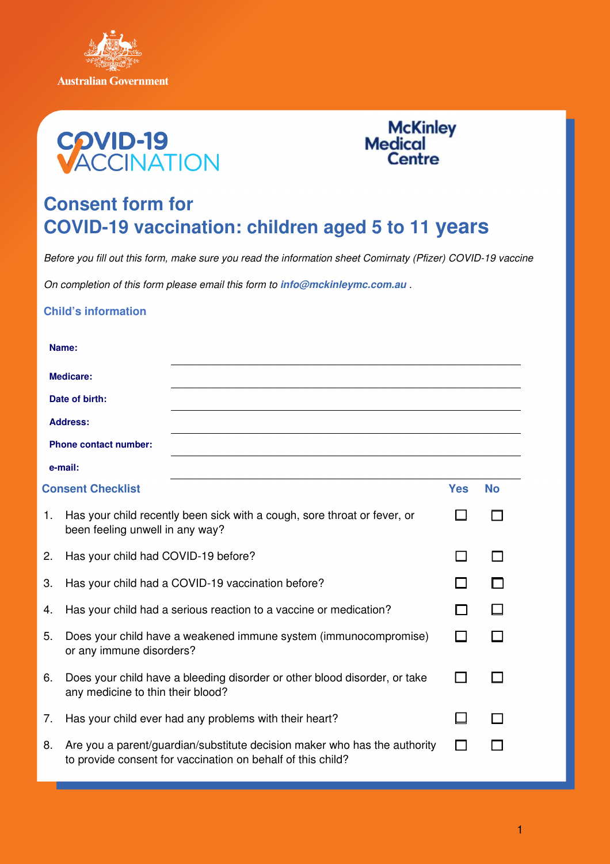





## **Consent form for COVID-19 vaccination: children aged 5 to 11 years**

Before you fill out this form, make sure you read the information sheet Comirnaty (Pfizer) COVID-19 vaccine

On completion of this form please email this form to **info@mckinleymc.com.au** .

## **Child's information**

|                              | Name:                                                                                                                                    |            |           |  |  |
|------------------------------|------------------------------------------------------------------------------------------------------------------------------------------|------------|-----------|--|--|
| <b>Medicare:</b>             |                                                                                                                                          |            |           |  |  |
| Date of birth:               |                                                                                                                                          |            |           |  |  |
| <b>Address:</b>              |                                                                                                                                          |            |           |  |  |
| <b>Phone contact number:</b> |                                                                                                                                          |            |           |  |  |
|                              | e-mail:                                                                                                                                  |            |           |  |  |
| <b>Consent Checklist</b>     |                                                                                                                                          | <b>Yes</b> | <b>No</b> |  |  |
| 1.                           | Has your child recently been sick with a cough, sore throat or fever, or<br>been feeling unwell in any way?                              |            |           |  |  |
| 2.                           | Has your child had COVID-19 before?                                                                                                      |            |           |  |  |
| 3.                           | Has your child had a COVID-19 vaccination before?                                                                                        |            |           |  |  |
| 4.                           | Has your child had a serious reaction to a vaccine or medication?                                                                        |            |           |  |  |
| 5.                           | Does your child have a weakened immune system (immunocompromise)<br>or any immune disorders?                                             |            |           |  |  |
| 6.                           | Does your child have a bleeding disorder or other blood disorder, or take<br>any medicine to thin their blood?                           |            |           |  |  |
| 7.                           | Has your child ever had any problems with their heart?                                                                                   |            |           |  |  |
| 8.                           | Are you a parent/guardian/substitute decision maker who has the authority<br>to provide consent for vaccination on behalf of this child? |            |           |  |  |